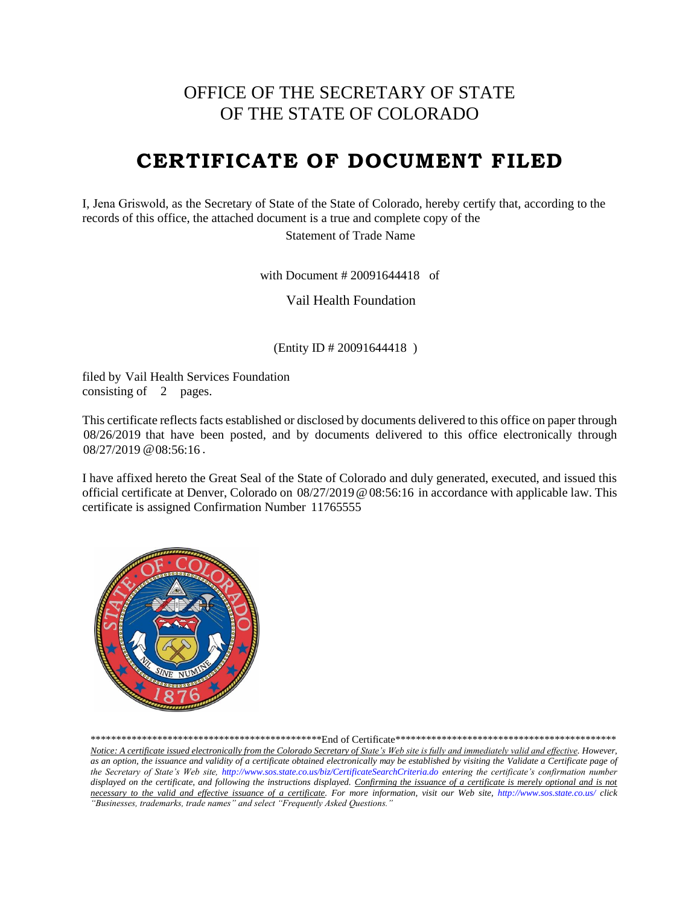# OFFICE OF THE SECRETARY OF STATE OF THE STATE OF COLORADO

# **CERTIFICATE OF DOCUMENT FILED**

I, Jena Griswold, as the Secretary of State of the State of Colorado, hereby certify that, according to the records of this office, the attached document is a true and complete copy of the

Statement of Trade Name

with Document  $\# 20091644418$  of

Vail Health Foundation

(Entity ID # 20091644418)

filed by Vail Health Services Foundation consisting of  $\,$  2 pages. with Document # 20091644418<br>Vail Health Foundation<br>(Entity ID # 20091644418 )<br>Vail Health Services Foundation

This certificate reflects facts established or disclosed by documents delivered to this office on paper through 08/26/2019 that have been posted, and by documents delivered to this office electronically through 08/27/2019 @ 08:56:16.

I have affixed hereto the Great Seal of the State of Colorado and duly generated, executed, and issued this official certificate at Denver, Colorado on 08/27/2019 @ 08:56:16 in accordance with applicable law. This certificate is assigned Confirmation Number 11765555



\*\*\*\*\*\*\*\*\*\*\*\*\*\*\*\*\*\*\*\*\*\*\*\*\*\*\*\*\*\*\*\*\*\*\*\*\*\*\*\*\*\*\*\*\*End of Certificate\*\*\*\*\*\*\*\*\*\*\*\*\*\*\*\*\*\*\*\*\*\*\*\*\*\*\*\*\*\*\*\*\*\*\*\*\*\*\*\*\*\*\*

*Notice: A certificate issued electronically from the Colorado Secretary of State's Web site is fully and immediately valid and effective. However, as an option, the issuance and validity of a certificate obtained electronically may be established by visiting the Validate a Certificate page of the Secretary of State's Web site, http://www.sos.state.co.us/biz/CertificateSearchCriteria.do entering the certificate's confirmation number displayed on the certificate, and following the instructions displayed. Confirming the issuance of a certificate is merely optional and is not necessary to the valid and effective issuance of a certificate. For more information, visit our Web site, http://www.sos.state.co.us/ click "Businesses, trademarks, trade names" and select "Frequently Asked Questions."*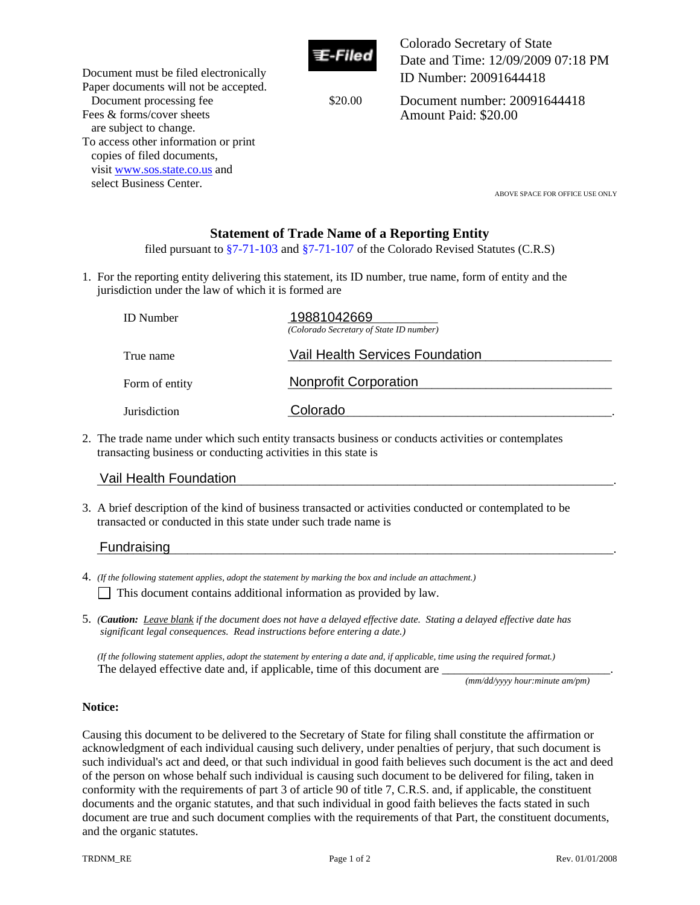

Colorado Secretary of State Date and Time: 12/09/2009 07:18 PM ID Number: 20091644418

Document processing fee \$20.00

Document number: 20091644418 Amount Paid: \$20.00

select Business Center.<br>ABOVE SPACE FOR OFFICE USE ONLY

# **Statement of Trade Name of a Reporting Entity**

filed pursuant to  $\S7-71-103$  and  $\S7-71-107$  of the Colorado Revised Statutes (C.R.S)

1. For the reporting entity delivering this statement, its ID number, true name, form of entity and the jurisdiction under the law of which it is formed are

|                                                                                                                                                                           | <b>ID</b> Number              | 19881042669<br>(Colorado Secretary of State ID number) |  |
|---------------------------------------------------------------------------------------------------------------------------------------------------------------------------|-------------------------------|--------------------------------------------------------|--|
|                                                                                                                                                                           | True name                     | Vail Health Services Foundation                        |  |
|                                                                                                                                                                           | Form of entity                | <b>Nonprofit Corporation</b>                           |  |
|                                                                                                                                                                           | Jurisdiction                  | Colorado                                               |  |
| 2. The trade name under which such entity transacts business or conducts activities or contemplates<br>transacting business or conducting activities in this state is     |                               |                                                        |  |
|                                                                                                                                                                           | <b>Vail Health Foundation</b> |                                                        |  |
| 3. A brief description of the kind of business transacted or activities conducted or contemplated to be<br>transacted or conducted in this state under such trade name is |                               |                                                        |  |
|                                                                                                                                                                           | Fundraising                   |                                                        |  |

## Vail Health Foundation

Document must be filed electronically Paper documents will not be accepted.

To access other information or print copies of filed documents, visit www.sos.state.co.us and

Fees & forms/cover sheets are subject to change.

### Fundraising

- 4. *(If the following statement applies, adopt the statement by marking the box and include an attachment.)*
	- $\Box$  This document contains additional information as provided by law.
- 5. *(Caution: Leave blank if the document does not have a delayed effective date. Stating a delayed effective date has significant legal consequences. Read instructions before entering a date.)*

 *(If the following statement applies, adopt the statement by entering a date and, if applicable, time using the required format.)*  The delayed effective date and, if applicable, time of this document are

*(mm/dd/yyyy hour:minute am/pm)* 

### **Notice:**

Causing this document to be delivered to the Secretary of State for filing shall constitute the affirmation or acknowledgment of each individual causing such delivery, under penalties of perjury, that such document is such individual's act and deed, or that such individual in good faith believes such document is the act and deed of the person on whose behalf such individual is causing such document to be delivered for filing, taken in conformity with the requirements of part 3 of article 90 of title 7, C.R.S. and, if applicable, the constituent documents and the organic statutes, and that such individual in good faith believes the facts stated in such document are true and such document complies with the requirements of that Part, the constituent documents, and the organic statutes.